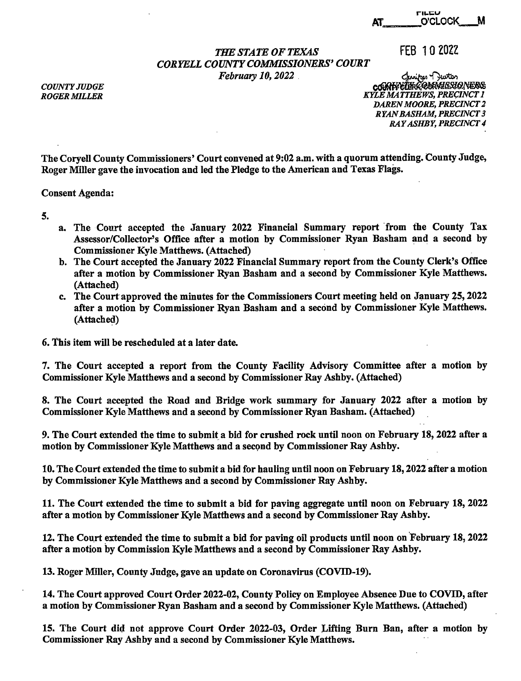## **THE STATE OF TEXAS** FEB 10 2022 *CORYELLCOUNTYCOMMISSIONERS'COURT February 10, 2022 Clustical Charitres Charitres*

~~~6?~ **KYLE MATTHEWS, PRECINCT 1** *DAREN MOORE, PRECINCT 2*  **RYAN BASHAM, PRECINCT 3** *RAY ASHBY, PRECINCT 4* 

The Coryell County Commissioners' Court convened at 9:02 a.m. with a quorum attending. County Judge, Roger Miller gave the invocation and led the Pledge to the American and Texas Flags.

Consent Agenda:

- 5.
- a. The Court accepted the January 2022 Financial Summary report from the County Tax Assessor/Collector's Office after a motion by Commissioner Ryan Basham and a second by Commissioner Kyle Matthews. (Attached)
- b. The Court accepted the January 2022 Financial Summary report from the County Clerk's Office after a motion by Commissioner Ryan Basham and a second by Commissioner Kyle Matthews. (Attached)
- c. The Court approved the minutes for the Commissioners Court meeting held on January 25, 2022 after a motion by Commissioner Ryan Basham and a second by Commissioner Kyle Matthews. (Attached)

6. This item will be rescheduled at a later date.

7. The Court accepted a report from the County Facility Advisory Committee after a motion by Commissioner Kyle Matthews and a second by Commissioner Ray Ashby. (Attached)

8. The Court accepted the Road and Bridge work summary for January 2022 after a motion by Commissioner Kyle Matthews and a second by Commissioner Ryan Basham. (Attached)

9. The Court extended the time to submit a bid for crushed rock until noon on February 18, 2022 after a motion by Commissioner Kyle Matthews and a second by Commissioner Ray Ashby.

10. The Court extended the time to submit a bid for hauling until noon on February 18, 2022 after a motion by Commissioner Kyle Matthews and a second by Commissioner Ray Ashby.

11. The Court extended the time to submit a bid for paving aggregate until noon on February 18, 2022 after a motion by Commissioner Kyle Matthews and a second by Commissioner Ray Ashby.

12. The Court extended the time to submit a bid for paving oil products until noon on February 18, 2022 after a motion by Commission Kyle Matthews and a second by Commissioner Ray Ashby.

13. Roger Miller, County Judge, gave an update on Coronavirus (COVID-19).

14. The Court approved Court Order 2022-02, County Policy on Employee Absence Due to COVID, after a motion by Commissioner Ryan Basham and a second by Commissioner Kyle Matthews. (Attached)

15. The Court did not approve Court Order 2022-03, Order Lifting Burn Ban, after a motion by Commissioner Ray Ashby and a second by Commissioner Kyle Matthews.

*COUNTY JUDGE ROGER MILLER*